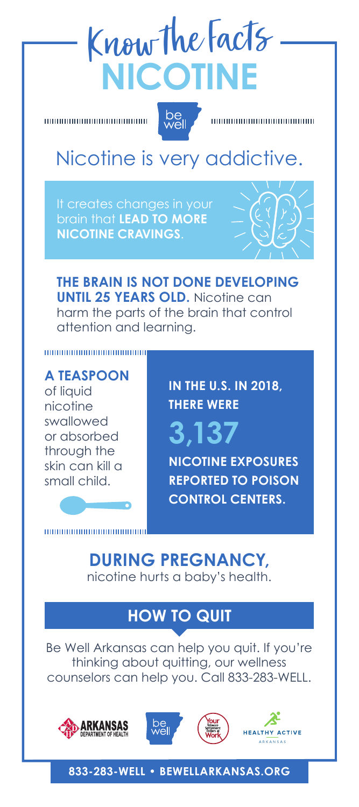# Know the Facts **NICOTINE**



## Nicotine is very addictive.

It creates changes in your brain that **LEAD TO MORE NICOTINE CRAVINGS**.



**THE BRAIN IS NOT DONE DEVELOPING UNTIL 25 YEARS OLD.** Nicotine can harm the parts of the brain that control attention and learning.

**A TEASPOON**  of liquid nicotine swallowed or absorbed through the skin can kill a small child.

,,,,,,,,,,,,,,,,,,,,,,,,,,,,,,,

**IN THE U.S. IN 2018, THERE WERE**

**3,137 NICOTINE EXPOSURES REPORTED TO POISON CONTROL CENTERS.**

**DURING PREGNANCY,** nicotine hurts a baby's health.

### **HOW TO QUIT**

Be Well Arkansas can help you quit. If you're thinking about quitting, our wellness counselors can help you. Call 833-283-WELL.









#### **833-283-WELL • BEWELLARKANSAS.ORG**